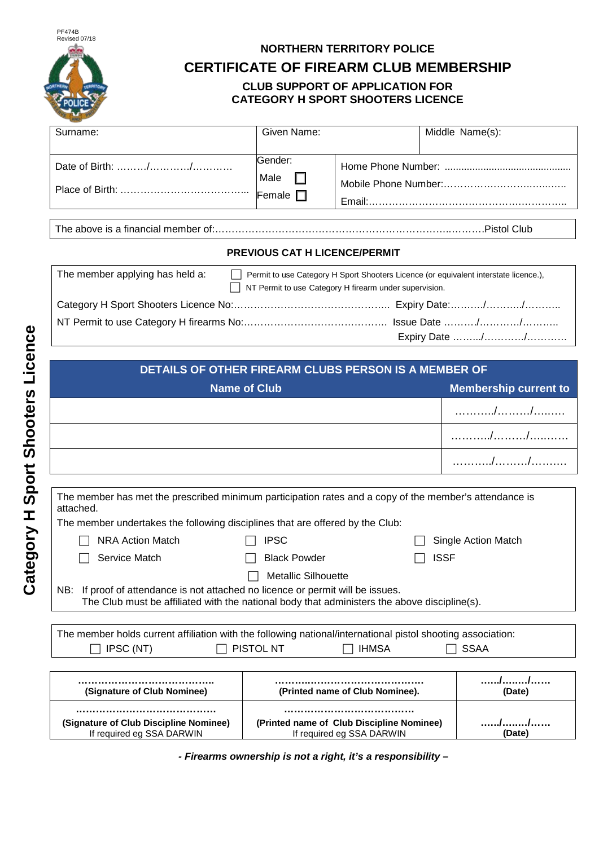

## **NORTHERN TERRITORY POLICE**

**CERTIFICATE OF FIREARM CLUB MEMBERSHIP**

## **CLUB SUPPORT OF APPLICATION FOR CATEGORY H SPORT SHOOTERS LICENCE**

| Surname: | Given Name:               | Middle Name(s): |
|----------|---------------------------|-----------------|
|          | Gender:<br>Male<br>Female |                 |

The above is a financial member of:……………………………………………………………..……….Pistol Club

## **PREVIOUS CAT H LICENCE/PERMIT**

| The member applying has held a: | Permit to use Category H Sport Shooters Licence (or equivalent interstate licence.),<br>$\Box$ NT Permit to use Category H firearm under supervision. |                |
|---------------------------------|-------------------------------------------------------------------------------------------------------------------------------------------------------|----------------|
|                                 |                                                                                                                                                       |                |
|                                 |                                                                                                                                                       |                |
|                                 |                                                                                                                                                       | Expiry Date // |

| DETAILS OF OTHER FIREARM CLUBS PERSON IS A MEMBER OF |                              |  |  |
|------------------------------------------------------|------------------------------|--|--|
| <b>Name of Club</b>                                  | <b>Membership current to</b> |  |  |
|                                                      |                              |  |  |
|                                                      |                              |  |  |
|                                                      |                              |  |  |

| The member has met the prescribed minimum participation rates and a copy of the member's attendance is<br>attached. |                            |                     |  |  |  |
|---------------------------------------------------------------------------------------------------------------------|----------------------------|---------------------|--|--|--|
| The member undertakes the following disciplines that are offered by the Club:                                       |                            |                     |  |  |  |
| <b>NRA Action Match</b>                                                                                             | <b>IPSC</b>                | Single Action Match |  |  |  |
| Service Match                                                                                                       | <b>Black Powder</b>        | <b>ISSF</b>         |  |  |  |
|                                                                                                                     | <b>Metallic Silhouette</b> |                     |  |  |  |
| NB: If proof of attendance is not attached no licence or permit will be issues.                                     |                            |                     |  |  |  |

The Club must be affiliated with the national body that administers the above discipline(s).

| The member holds current affiliation with the following national/international pistol shooting association: |                  |              |             |  |  |
|-------------------------------------------------------------------------------------------------------------|------------------|--------------|-------------|--|--|
| $\Box$ IPSC (NT)                                                                                            | $\Box$ Pistol NT | $\Box$ IHMSA | $\Box$ SSAA |  |  |

| <br>(Signature of Club Nominee)                                     | (Printed name of Club Nominee).                                            | 'Date) |
|---------------------------------------------------------------------|----------------------------------------------------------------------------|--------|
| (Signature of Club Discipline Nominee)<br>If required eg SSA DARWIN | <br>(Printed name of Club Discipline Nominee)<br>If required eg SSA DARWIN | Date)  |

*- Firearms ownership is not a right, it's a responsibility –*